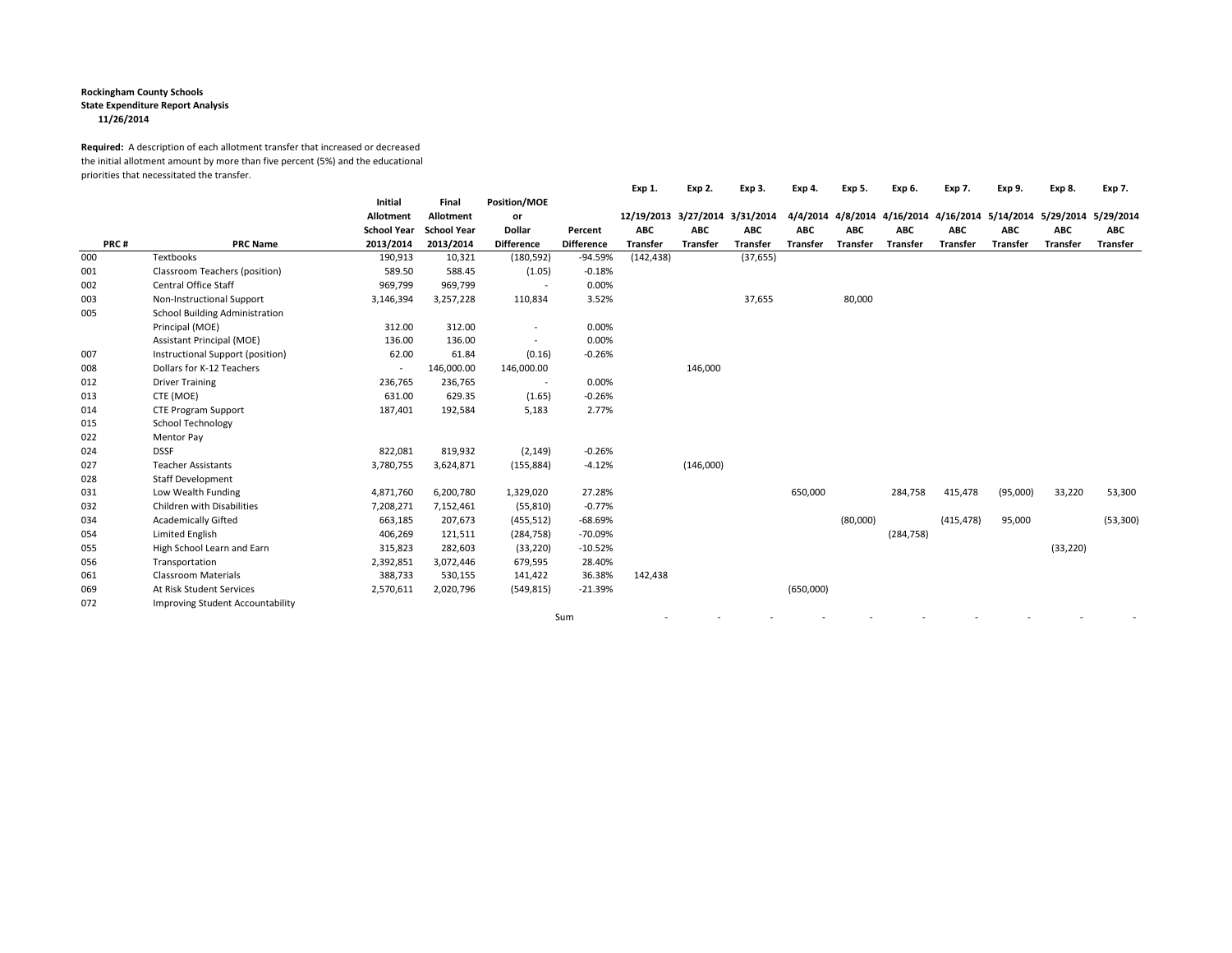## **Rockingham County Schools**

**State Expenditure Report Analysis**

**11/26/2014**

## **Required:** A description of each allotment transfer that increased or decreased the initial allotment amount by more than five percent (5%) and the educational priorities that necessitated the transfer.

| PRC# |                                       |                                                                |                                                       | Position/MOE<br>or<br><b>Dollar</b><br><b>Difference</b> | Percent<br><b>Difference</b> | Exp 1.<br>12/19/2013<br><b>ABC</b><br><b>Transfer</b> | Exp 2.<br>3/27/2014<br><b>ABC</b><br><b>Transfer</b> | Exp 3.<br>3/31/2014<br><b>ABC</b><br><b>Transfer</b> | Exp 4.<br>4/4/2014<br><b>ABC</b><br><b>Transfer</b> | Exp 5.<br>4/8/2014<br><b>ABC</b><br><b>Transfer</b> | Exp 6.<br><b>ABC</b><br><b>Transfer</b> | Exp 7.<br>4/16/2014 4/16/2014<br><b>ABC</b><br><b>Transfer</b> | Exp 9.<br><b>ABC</b><br><b>Transfer</b> | Exp 8.<br>5/14/2014 5/29/2014<br><b>ABC</b><br><b>Transfer</b> | Exp 7.<br>5/29/2014<br><b>ABC</b><br><b>Transfer</b> |     |                               |         |         |            |           |            |  |           |  |  |  |  |  |  |  |
|------|---------------------------------------|----------------------------------------------------------------|-------------------------------------------------------|----------------------------------------------------------|------------------------------|-------------------------------------------------------|------------------------------------------------------|------------------------------------------------------|-----------------------------------------------------|-----------------------------------------------------|-----------------------------------------|----------------------------------------------------------------|-----------------------------------------|----------------------------------------------------------------|------------------------------------------------------|-----|-------------------------------|---------|---------|------------|-----------|------------|--|-----------|--|--|--|--|--|--|--|
|      | <b>PRC Name</b>                       | Initial<br><b>Allotment</b><br><b>School Year</b><br>2013/2014 | Final<br>Allotment<br><b>School Year</b><br>2013/2014 |                                                          |                              |                                                       |                                                      |                                                      |                                                     |                                                     |                                         |                                                                |                                         |                                                                |                                                      |     |                               |         |         |            |           |            |  |           |  |  |  |  |  |  |  |
|      |                                       |                                                                |                                                       |                                                          |                              |                                                       |                                                      |                                                      |                                                     |                                                     |                                         |                                                                |                                         |                                                                |                                                      | 000 | Textbooks                     | 190,913 | 10,321  | (180, 592) | $-94.59%$ | (142, 438) |  | (37, 655) |  |  |  |  |  |  |  |
|      |                                       |                                                                |                                                       |                                                          |                              |                                                       |                                                      |                                                      |                                                     |                                                     |                                         |                                                                |                                         |                                                                |                                                      | 001 | Classroom Teachers (position) | 589.50  | 588.45  | (1.05)     | $-0.18%$  |            |  |           |  |  |  |  |  |  |  |
|      |                                       |                                                                |                                                       |                                                          |                              |                                                       |                                                      |                                                      |                                                     |                                                     |                                         |                                                                |                                         |                                                                |                                                      | 002 | <b>Central Office Staff</b>   | 969,799 | 969,799 |            | 0.00%     |            |  |           |  |  |  |  |  |  |  |
| 003  | Non-Instructional Support             | 3,146,394                                                      | 3,257,228                                             | 110,834                                                  | 3.52%                        |                                                       |                                                      | 37,655                                               |                                                     | 80,000                                              |                                         |                                                                |                                         |                                                                |                                                      |     |                               |         |         |            |           |            |  |           |  |  |  |  |  |  |  |
| 005  | <b>School Building Administration</b> |                                                                |                                                       |                                                          |                              |                                                       |                                                      |                                                      |                                                     |                                                     |                                         |                                                                |                                         |                                                                |                                                      |     |                               |         |         |            |           |            |  |           |  |  |  |  |  |  |  |
|      | Principal (MOE)                       | 312.00                                                         | 312.00                                                | $\overline{\phantom{a}}$                                 | 0.00%                        |                                                       |                                                      |                                                      |                                                     |                                                     |                                         |                                                                |                                         |                                                                |                                                      |     |                               |         |         |            |           |            |  |           |  |  |  |  |  |  |  |
|      | Assistant Principal (MOE)             | 136.00                                                         | 136.00                                                | $\overline{\phantom{a}}$                                 | 0.00%                        |                                                       |                                                      |                                                      |                                                     |                                                     |                                         |                                                                |                                         |                                                                |                                                      |     |                               |         |         |            |           |            |  |           |  |  |  |  |  |  |  |
| 007  | Instructional Support (position)      | 62.00                                                          | 61.84                                                 | (0.16)                                                   | $-0.26%$                     |                                                       |                                                      |                                                      |                                                     |                                                     |                                         |                                                                |                                         |                                                                |                                                      |     |                               |         |         |            |           |            |  |           |  |  |  |  |  |  |  |
| 008  | Dollars for K-12 Teachers             |                                                                | 146,000.00                                            | 146,000.00                                               |                              |                                                       | 146,000                                              |                                                      |                                                     |                                                     |                                         |                                                                |                                         |                                                                |                                                      |     |                               |         |         |            |           |            |  |           |  |  |  |  |  |  |  |
| 012  | <b>Driver Training</b>                | 236,765                                                        | 236,765                                               | $\sim$                                                   | 0.00%                        |                                                       |                                                      |                                                      |                                                     |                                                     |                                         |                                                                |                                         |                                                                |                                                      |     |                               |         |         |            |           |            |  |           |  |  |  |  |  |  |  |
| 013  | CTE (MOE)                             | 631.00                                                         | 629.35                                                | (1.65)                                                   | $-0.26%$                     |                                                       |                                                      |                                                      |                                                     |                                                     |                                         |                                                                |                                         |                                                                |                                                      |     |                               |         |         |            |           |            |  |           |  |  |  |  |  |  |  |
| 014  | <b>CTE Program Support</b>            | 187,401                                                        | 192,584                                               | 5,183                                                    | 2.77%                        |                                                       |                                                      |                                                      |                                                     |                                                     |                                         |                                                                |                                         |                                                                |                                                      |     |                               |         |         |            |           |            |  |           |  |  |  |  |  |  |  |
| 015  | School Technology                     |                                                                |                                                       |                                                          |                              |                                                       |                                                      |                                                      |                                                     |                                                     |                                         |                                                                |                                         |                                                                |                                                      |     |                               |         |         |            |           |            |  |           |  |  |  |  |  |  |  |
| 022  | Mentor Pay                            |                                                                |                                                       |                                                          |                              |                                                       |                                                      |                                                      |                                                     |                                                     |                                         |                                                                |                                         |                                                                |                                                      |     |                               |         |         |            |           |            |  |           |  |  |  |  |  |  |  |
| 024  | <b>DSSF</b>                           | 822,081                                                        | 819,932                                               | (2, 149)                                                 | $-0.26%$                     |                                                       |                                                      |                                                      |                                                     |                                                     |                                         |                                                                |                                         |                                                                |                                                      |     |                               |         |         |            |           |            |  |           |  |  |  |  |  |  |  |
| 027  | <b>Teacher Assistants</b>             | 3,780,755                                                      | 3,624,871                                             | (155, 884)                                               | $-4.12%$                     |                                                       | (146,000)                                            |                                                      |                                                     |                                                     |                                         |                                                                |                                         |                                                                |                                                      |     |                               |         |         |            |           |            |  |           |  |  |  |  |  |  |  |
| 028  | <b>Staff Development</b>              |                                                                |                                                       |                                                          |                              |                                                       |                                                      |                                                      |                                                     |                                                     |                                         |                                                                |                                         |                                                                |                                                      |     |                               |         |         |            |           |            |  |           |  |  |  |  |  |  |  |
| 031  | Low Wealth Funding                    | 4,871,760                                                      | 6,200,780                                             | 1,329,020                                                | 27.28%                       |                                                       |                                                      |                                                      | 650,000                                             |                                                     | 284,758                                 | 415,478                                                        | (95,000)                                | 33,220                                                         | 53,300                                               |     |                               |         |         |            |           |            |  |           |  |  |  |  |  |  |  |
| 032  | Children with Disabilities            | 7,208,271                                                      | 7,152,461                                             | (55, 810)                                                | $-0.77%$                     |                                                       |                                                      |                                                      |                                                     |                                                     |                                         |                                                                |                                         |                                                                |                                                      |     |                               |         |         |            |           |            |  |           |  |  |  |  |  |  |  |
| 034  | <b>Academically Gifted</b>            | 663,185                                                        | 207,673                                               | (455, 512)                                               | $-68.69%$                    |                                                       |                                                      |                                                      |                                                     | (80,000)                                            |                                         | (415, 478)                                                     | 95,000                                  |                                                                | (53, 300)                                            |     |                               |         |         |            |           |            |  |           |  |  |  |  |  |  |  |
| 054  | Limited English                       | 406,269                                                        | 121,511                                               | (284, 758)                                               | -70.09%                      |                                                       |                                                      |                                                      |                                                     |                                                     | (284, 758)                              |                                                                |                                         |                                                                |                                                      |     |                               |         |         |            |           |            |  |           |  |  |  |  |  |  |  |
| 055  | High School Learn and Earn            | 315,823                                                        | 282,603                                               | (33, 220)                                                | $-10.52%$                    |                                                       |                                                      |                                                      |                                                     |                                                     |                                         |                                                                |                                         | (33, 220)                                                      |                                                      |     |                               |         |         |            |           |            |  |           |  |  |  |  |  |  |  |
| 056  | Transportation                        | 2,392,851                                                      | 3,072,446                                             | 679,595                                                  | 28.40%                       |                                                       |                                                      |                                                      |                                                     |                                                     |                                         |                                                                |                                         |                                                                |                                                      |     |                               |         |         |            |           |            |  |           |  |  |  |  |  |  |  |
| 061  | <b>Classroom Materials</b>            | 388,733                                                        | 530,155                                               | 141,422                                                  | 36.38%                       | 142,438                                               |                                                      |                                                      |                                                     |                                                     |                                         |                                                                |                                         |                                                                |                                                      |     |                               |         |         |            |           |            |  |           |  |  |  |  |  |  |  |
| 069  | At Risk Student Services              | 2,570,611                                                      | 2,020,796                                             | (549, 815)                                               | $-21.39%$                    |                                                       |                                                      |                                                      | (650,000)                                           |                                                     |                                         |                                                                |                                         |                                                                |                                                      |     |                               |         |         |            |           |            |  |           |  |  |  |  |  |  |  |
| 072  | Improving Student Accountability      |                                                                |                                                       |                                                          |                              |                                                       |                                                      |                                                      |                                                     |                                                     |                                         |                                                                |                                         |                                                                |                                                      |     |                               |         |         |            |           |            |  |           |  |  |  |  |  |  |  |
|      |                                       |                                                                |                                                       |                                                          | Sum                          |                                                       |                                                      |                                                      |                                                     |                                                     |                                         |                                                                |                                         |                                                                |                                                      |     |                               |         |         |            |           |            |  |           |  |  |  |  |  |  |  |